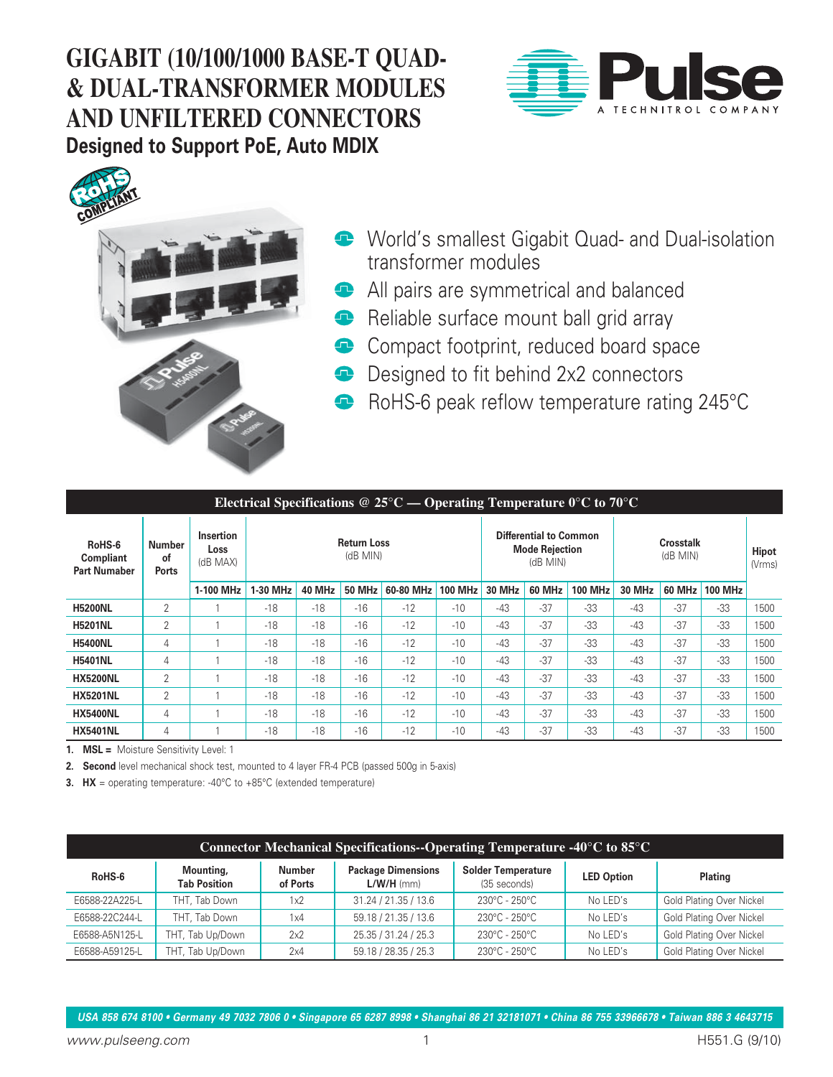



- **•** World's smallest Gigabit Quad- and Dual-isolation transformer modules
- **All pairs are symmetrical and balanced**
- **Reliable surface mount ball grid array**
- **Compact footprint, reduced board space**
- **Designed to fit behind 2x2 connectors**
- **RoHS-6 peak reflow temperature rating 245 °C**

| Electrical Specifications @ $25^{\circ}$ C — Operating Temperature 0°C to 70°C |                                     |                                      |                                |        |               |           |                |                                                                    |               |                              |               |                        |                |      |
|--------------------------------------------------------------------------------|-------------------------------------|--------------------------------------|--------------------------------|--------|---------------|-----------|----------------|--------------------------------------------------------------------|---------------|------------------------------|---------------|------------------------|----------------|------|
| RoHS-6<br><b>Compliant</b><br><b>Part Numaber</b>                              | <b>Number</b><br>οf<br><b>Ports</b> | <b>Insertion</b><br>Loss<br>(dB MAX) | <b>Return Loss</b><br>(dB MIN) |        |               |           |                | <b>Differential to Common</b><br><b>Mode Rejection</b><br>(dB MIN) |               | <b>Crosstalk</b><br>(dB MIN) |               | <b>Hipot</b><br>(Vrms) |                |      |
|                                                                                |                                     | 1-100 MHz                            | 1-30 MHz                       | 40 MHz | <b>50 MHz</b> | 60-80 MHz | <b>100 MHz</b> | <b>30 MHz</b>                                                      | <b>60 MHz</b> | <b>100 MHz</b>               | <b>30 MHz</b> | 60 MHz                 | <b>100 MHz</b> |      |
| <b>H5200NL</b>                                                                 | 2                                   |                                      | $-18$                          | $-18$  | $-16$         | $-12$     | $-10$          | $-43$                                                              | $-37$         | $-33$                        | $-43$         | $-37$                  | $-33$          | 1500 |
| <b>H5201NL</b>                                                                 | 2                                   |                                      | $-18$                          | $-18$  | $-16$         | $-12$     | $-10$          | $-43$                                                              | $-37$         | $-33$                        | $-43$         | $-37$                  | $-33$          | 1500 |
| <b>H5400NL</b>                                                                 | 4                                   |                                      | $-18$                          | $-18$  | $-16$         | $-12$     | $-10$          | $-43$                                                              | $-37$         | $-33$                        | $-43$         | $-37$                  | $-33$          | 1500 |
| <b>H5401NL</b>                                                                 | 4                                   |                                      | $-18$                          | $-18$  | $-16$         | $-12$     | $-10$          | $-43$                                                              | $-37$         | $-33$                        | $-43$         | $-37$                  | $-33$          | 1500 |
| <b>HX5200NL</b>                                                                | 2                                   |                                      | $-18$                          | $-18$  | $-16$         | $-12$     | $-10$          | $-43$                                                              | $-37$         | $-33$                        | $-43$         | $-37$                  | $-33$          | 1500 |
| <b>HX5201NL</b>                                                                | 2                                   |                                      | $-18$                          | $-18$  | $-16$         | $-12$     | $-10$          | $-43$                                                              | $-37$         | $-33$                        | $-43$         | $-37$                  | $-33$          | 1500 |
| <b>HX5400NL</b>                                                                | 4                                   |                                      | $-18$                          | $-18$  | $-16$         | $-12$     | $-10$          | $-43$                                                              | $-37$         | $-33$                        | $-43$         | $-37$                  | $-33$          | 1500 |
| <b>HX5401NL</b>                                                                | 4                                   |                                      | $-18$                          | $-18$  | $-16$         | $-12$     | $-10$          | $-43$                                                              | $-37$         | $-33$                        | $-43$         | $-37$                  | $-33$          | 1500 |

**1. MSL =** Moisture Sensitivity Level: 1

**2. Second** level mechanical shock test, mounted to 4 layer FR-4 PCB (passed 500g in 5-axis)

**3. HX** = operating temperature: -40°C to +85°C (extended temperature)

| Connector Mechanical Specifications--Operating Temperature -40 $^{\circ}$ C to 85 $^{\circ}$ C |                                  |                           |                                           |                                           |                   |                          |  |  |  |
|------------------------------------------------------------------------------------------------|----------------------------------|---------------------------|-------------------------------------------|-------------------------------------------|-------------------|--------------------------|--|--|--|
| RoHS-6                                                                                         | Mounting,<br><b>Tab Position</b> | <b>Number</b><br>of Ports | <b>Package Dimensions</b><br>$L/W/H$ (mm) | <b>Solder Temperature</b><br>(35 seconds) | <b>LED Option</b> | <b>Plating</b>           |  |  |  |
| E6588-22A225-L                                                                                 | THT. Tab Down                    | 1x2                       | 31.24 / 21.35 / 13.6                      | $230^{\circ}$ C - 250 $^{\circ}$ C        | No LED's          | Gold Plating Over Nickel |  |  |  |
| E6588-22C244-L                                                                                 | THT. Tab Down                    | 1x4                       | 59.18 / 21.35 / 13.6                      | $230^{\circ}$ C - 250 $^{\circ}$ C        | No LED's          | Gold Plating Over Nickel |  |  |  |
| E6588-A5N125-L                                                                                 | THT, Tab Up/Down                 | 2x2                       | 25.35 / 31.24 / 25.3                      | $230^{\circ}$ C - 250 $^{\circ}$ C        | No LED's          | Gold Plating Over Nickel |  |  |  |
| E6588-A59125-L                                                                                 | THT, Tab Up/Down                 | 2x4                       | 59.18 / 28.35 / 25.3                      | 230°C - 250°C                             | No LED's          | Gold Plating Over Nickel |  |  |  |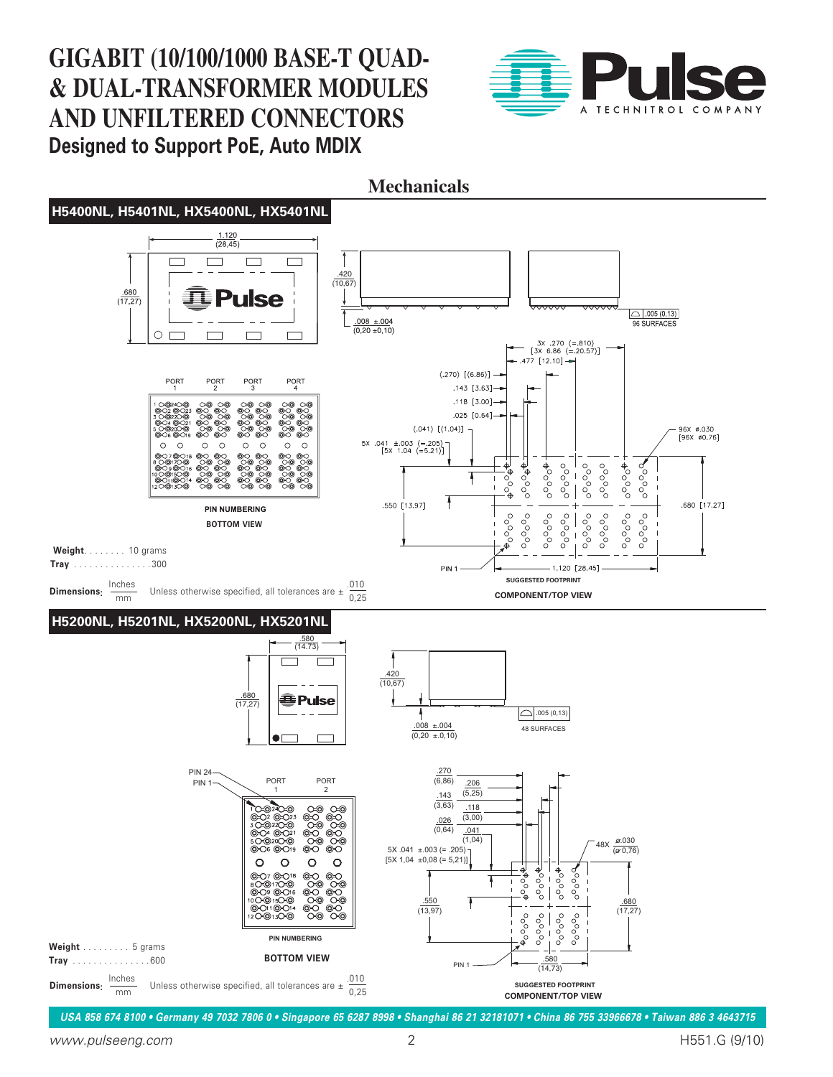



*USA 858 674 8100 • Germany 49 7032 7806 0 • Singapore 65 6287 8998 • Shanghai 86 21 32181071 • China 86 755 33966678 • Taiwan 886 3 4643715*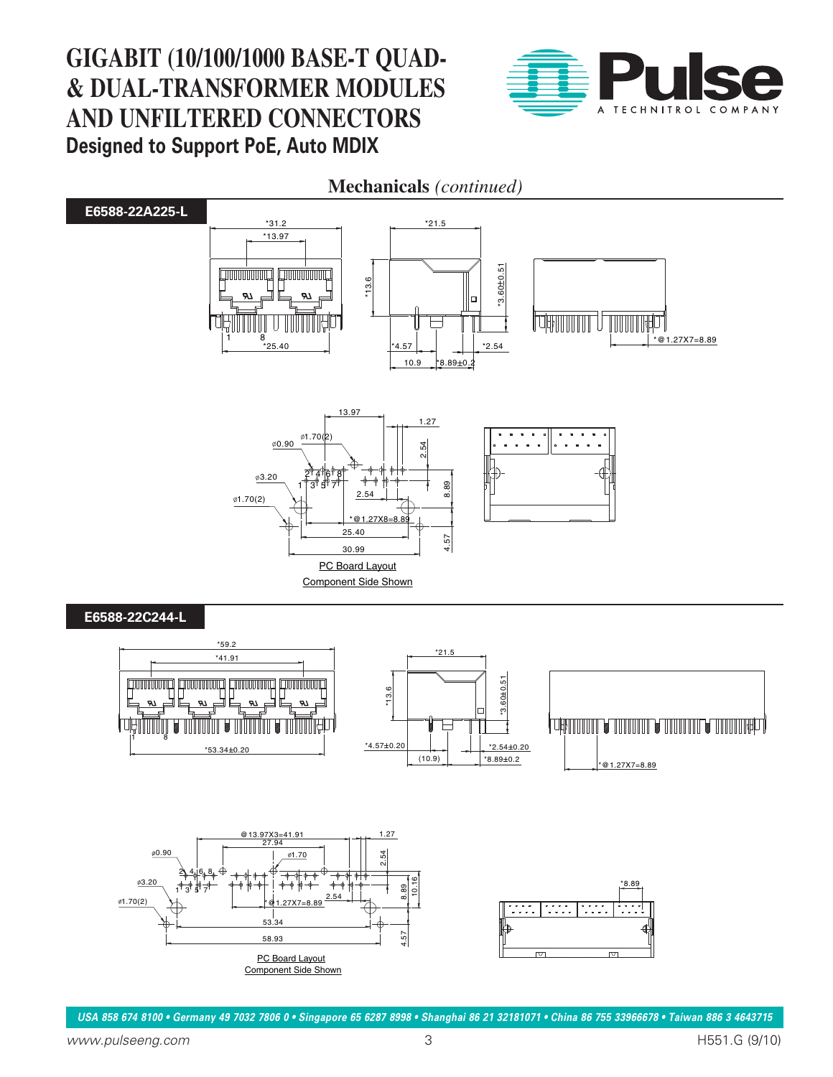





4.57

*USA 858 674 8100 • Germany 49 7032 7806 0 • Singapore 65 6287 8998 • Shanghai 86 21 32181071 • China 86 755 33966678 • Taiwan 886 3 4643715*

 $\overline{\triangledown}$ 

m

Component Side Shown PC Board Layout 58.93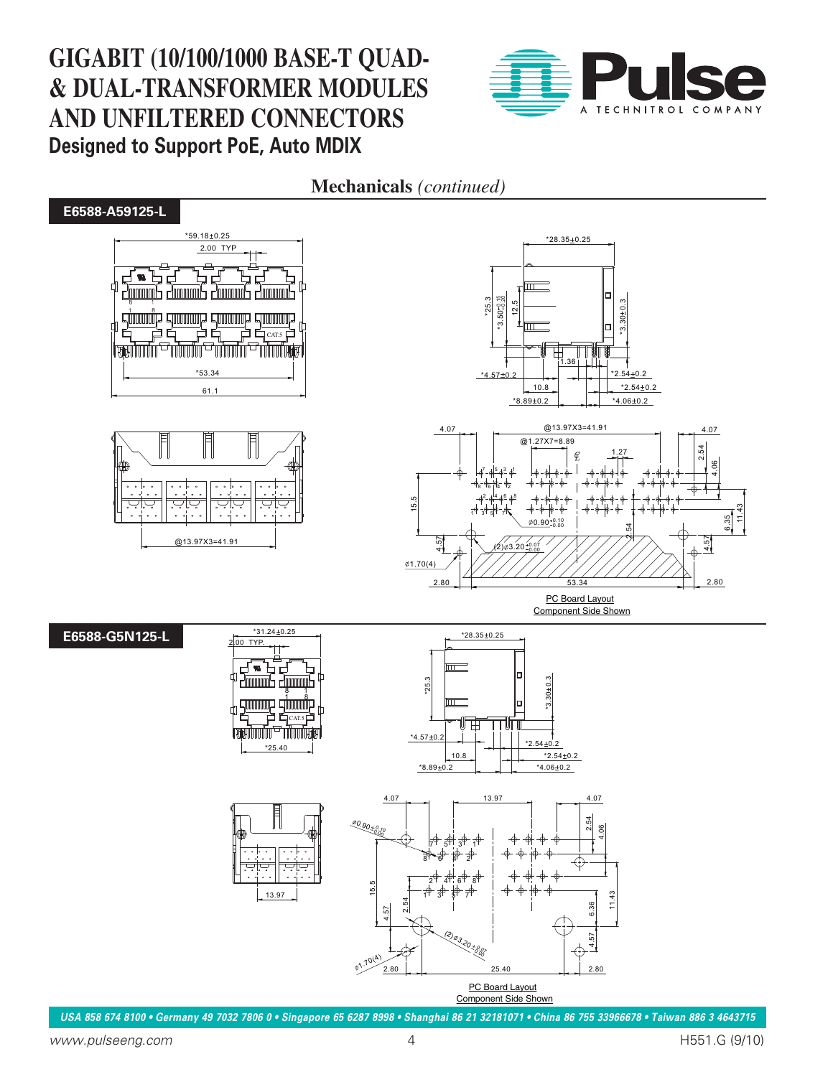

### **Mechanicals** *(continued)*



Component Side Shown

*USA 858 674 8100 • Germany 49 7032 7806 0 • Singapore 65 6287 8998 • Shanghai 86 21 32181071 • China 86 755 33966678 • Taiwan 886 3 4643715*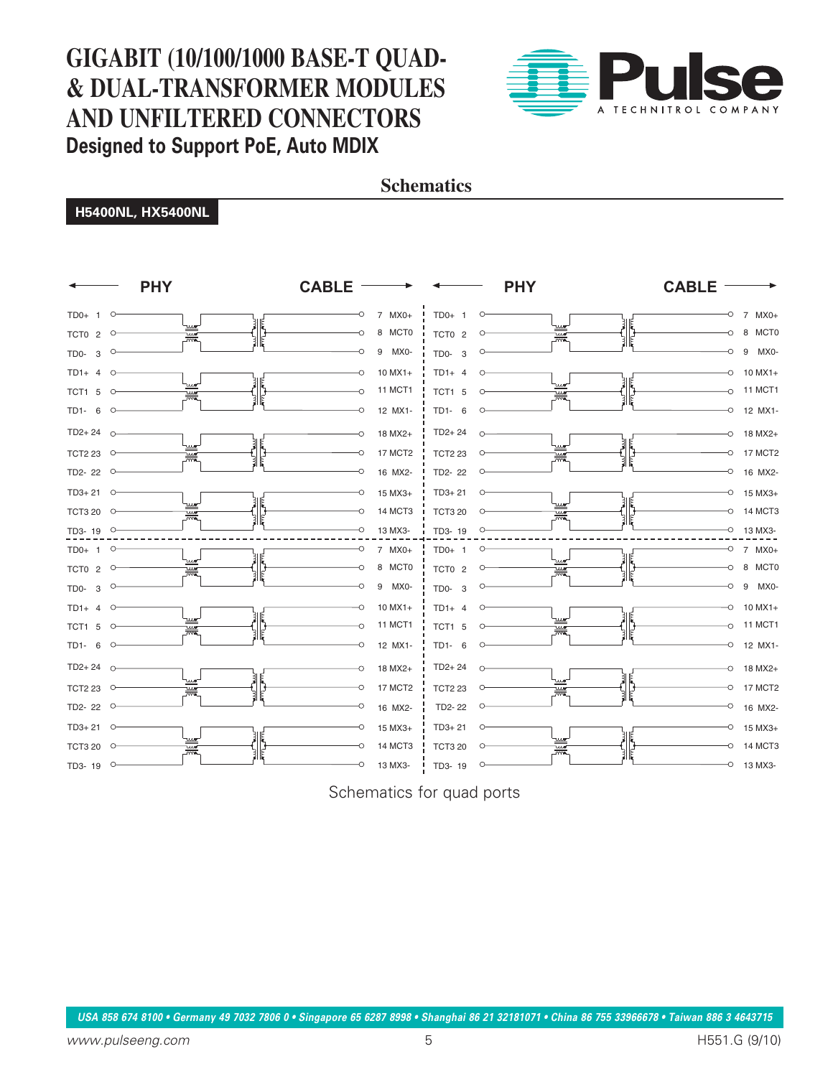

### **Schematics**

#### **H5400NL, HX5400NL**

|                          |         | <b>PHY</b> |                              | <b>CABLE</b> |                |                          | <b>PHY</b> |         | <b>CABLE</b> |                |
|--------------------------|---------|------------|------------------------------|--------------|----------------|--------------------------|------------|---------|--------------|----------------|
| TD0+ 1                   | $\circ$ |            |                              | O            | 7 MX0+         | $TD0+1$                  | O          |         | -0           | 7 MX0+         |
| TCT0 2                   | O       |            | w<br>W                       |              | 8 MCT0         | TCT0 2                   |            | سس<br>籯 | O            | 8 MCT0         |
| $\mathbf{3}$<br>TD0-     | O       |            |                              | O            | MX0-<br>9      | TD <sub>0</sub> -<br>3   |            |         | -0           | 9<br>MX0-      |
| $TD1+ 4$                 | $\circ$ |            |                              | O            | $10$ MX1+      | $TD1+$<br>$\overline{4}$ | O          |         | -0           | 10 MX1+        |
| TCT1 5                   | O       |            | W<br>$\mathbf{E}$            | O            | <b>11 MCT1</b> | TCT1 5                   | O          | w<br>₩  | O            | <b>11 MCT1</b> |
| TD1- 6                   | O       |            |                              | O            | 12 MX1-        | TD1-<br>6                |            |         | -0           | 12 MX1-        |
| TD2+24                   | $\circ$ |            |                              | Ó            | 18 MX2+        | TD2+24                   | $\circ$    |         | Ō-           | 18 MX2+        |
| TCT2 23 O                |         |            | 豐<br>$\overline{\epsilon}$   |              | 17 MCT2        | <b>TCT2 23</b>           | $\circ$    | سس<br>薰 | O            | <b>17 MCT2</b> |
| TD2-22                   | $\circ$ |            |                              | O            | 16 MX2-        | TD2-22                   | O          |         | -0           | 16 MX2-        |
| TD3+21                   | $\circ$ |            |                              | O            | 15 MX3+        | $TD3+21$                 | O          |         | -0           | 15 MX3+        |
| <b>TCT3 20</b>           | $\circ$ |            | w<br>Wa                      | -0           | 14 MCT3        | <b>TCT3 20</b>           | $\circ$    | w<br>疆  | -0           | <b>14 MCT3</b> |
| TD3-19                   | $\circ$ |            |                              | O            | 13 MX3-        | TD3-19                   | O          |         | -0           | 13 MX3-        |
| $TD0+1$                  | O       |            |                              |              | 7 MX0+         | TD <sub>0+</sub>         |            |         | O            | 7 MX0+         |
| TCT0 2                   | $\circ$ |            | ▓<br>E                       | O            | 8 MCT0         | TCT0 2                   | O          | ww<br>薰 | -0           | 8 MCT0         |
| TD0-3                    | O       |            |                              | O            | 9<br>MX0-      | TD <sub>0</sub> -<br>3   | O          |         | -0           | 9 MX0-         |
| $TD1+$<br>$\overline{4}$ | O       |            |                              | O            | $10$ MX1+      | $TD1+$<br>$\overline{4}$ | O          |         | -0           | $10$ MX1+      |
| TCT1 5                   | $\circ$ |            | Namar<br>Namar<br>Namar<br>E | O            | <b>11 MCT1</b> | TCT1 5                   |            | ≣       | Ó            | <b>11 MCT1</b> |
| TD1- 6                   | Ο       |            |                              | -0           | 12 MX1-        | TD1-<br>6                | O          |         | -0           | 12 MX1-        |
| TD2+24 $\circ$           |         |            |                              | -0           | 18 MX2+        | TD2+24                   | $\circ$    |         | -0           | 18 MX2+        |
| <b>TCT2 23</b>           | $\circ$ |            | <b>WA</b>                    | -0           | 17 MCT2        | <b>TCT2 23</b>           | $\circ$    | ₩       | -0           | <b>17 MCT2</b> |
| TD2-22                   | $\circ$ |            |                              | O            | 16 MX2-        | TD2-22                   | O          |         | -0           | 16 MX2-        |
| TD3+21                   | $\circ$ |            |                              | -0           | 15 MX3+        | $TD3+21$                 | $\circ$    |         | O            | 15 MX3+        |
| <b>TCT3 20</b>           | $\circ$ |            | E<br>▓<br>$\epsilon$         |              | 14 MCT3        | <b>TCT3 20</b>           | $\circ$    | ▓       | O            | <b>14 MCT3</b> |
| TD3-19                   | O       |            |                              |              | 13 MX3-        | TD3-19                   |            |         |              | $-0$ 13 MX3-   |

Schematics for quad ports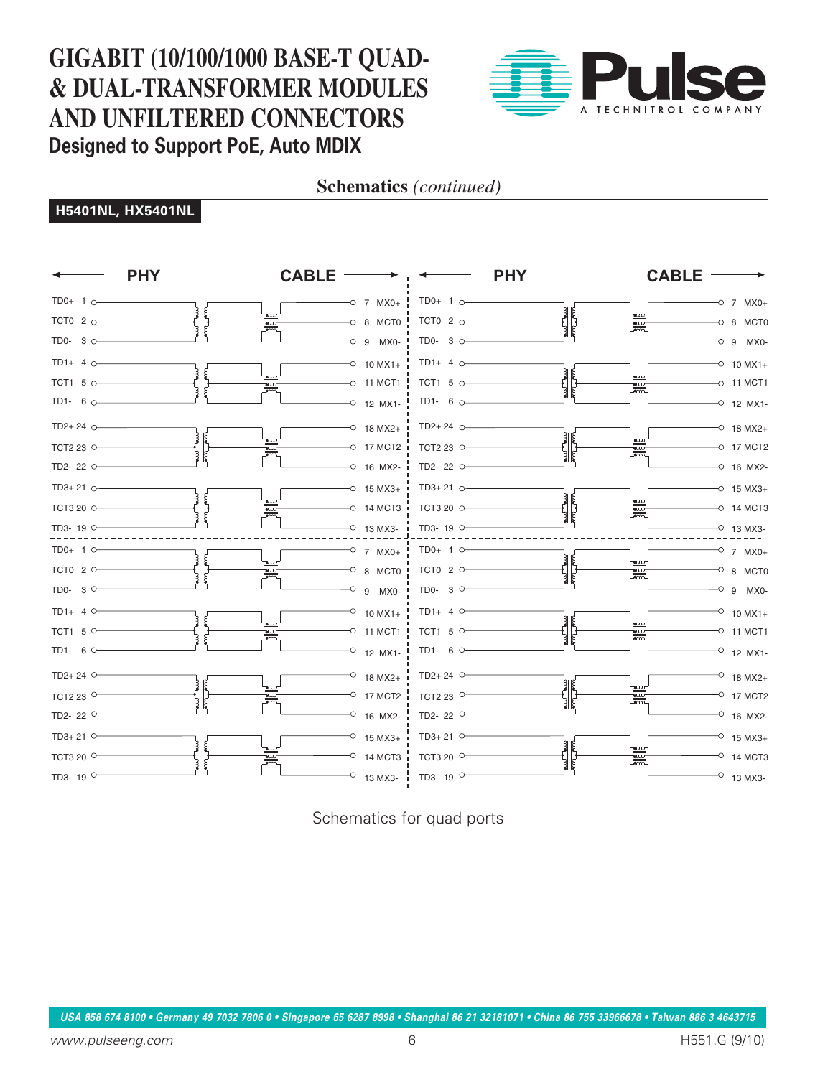

### **Schematics** *(continued)*

#### **H5401NL, HX5401NL**

|                       | <b>PHY</b>          | <b>CABLE</b>                                         |                       | <b>PHY</b>            | <b>CABLE</b>                                  |
|-----------------------|---------------------|------------------------------------------------------|-----------------------|-----------------------|-----------------------------------------------|
| TD0+ 1 $\circ$        |                     | $-0$ 7 MX0+                                          | TD0+ 1 $\circ$        |                       | $-0$ 7 MX0+                                   |
| TCT0 2 $\circ$        | E<br>$\mathbb{F}$   | $-0$ 8 MCT0<br>$\equiv$                              | TCT0 2 $\circ$        |                       | $-0$ 8 MCT0<br>$\overline{\mathbb{R}}$        |
| TD0-3 $\circ$         |                     | 9<br>MX0-<br>0                                       | TD0- $3^\circ$        | $\mathbb{E}$          | $\circ$ 9<br>MX0-                             |
| TD1+ 4 $\circ$        |                     | $-0$ 10 MX1+                                         | TD1+ 4 $\circ$        |                       | $-0$ 10 MX1+                                  |
| TCT1 5 $\circ$        | $\mathbb{F}$        | $-0$ 11 MCT1<br>$\frac{1}{2}$                        | TCT1 5 $\circ$        |                       | $-0$ 11 MCT1<br>$\frac{1}{2}$                 |
| TD1- $6^\circ$        |                     | $-0$ 12 MX1-                                         | TD1- $6^\circ$        |                       | $-0$ 12 MX1-                                  |
| TD2+24 $\circ$        |                     | $-0$ 18 MX2+                                         | TD2+24 $\circ$        |                       | $-0$ 18 MX2+                                  |
| TCT2 23 O             |                     | $\underline{\mathbf{w}}$<br>$-0$ 17 MCT2<br>$\equiv$ | TCT2 23 O             |                       | ww<br>$-0$ 17 MCT2<br>$\overline{\mathbb{R}}$ |
| TD2-22 O              |                     | $-0$ 16 MX2-                                         | TD2-22 O              |                       | $-0$ 16 MX2-                                  |
| $TD3+21$ $O-$         |                     | $-0$ 15 MX3+                                         | TD3+21 $\circ$        |                       | $-0$ 15 MX3+                                  |
| TCT3 20 O             | $\epsilon$          | 14 MCT3<br>O<br><u>ww</u><br>$\sqrt{2}$              | TCT3 20 O             |                       | $-0$ 14 MCT3<br>ww<br>ണ്                      |
| TD3-19 O              |                     | -0<br>13 MX3-                                        | TD3-19 O              |                       | $-$ 13 MX3-                                   |
| TD0+ 1 $\circ$        |                     | $-$ 7 MX0+                                           | TD0+ 1 $\circ$        |                       | $-$ 7 MX0+                                    |
| TCT0 2 O              | $\epsilon$          | Ю.<br>8 MCT0<br>$\equiv$                             | TCT0 2 $\circ$        |                       | $\overline{\circ}$ 8 MCT0<br>$\equiv$         |
| TD0-3 $\circ$         |                     | -0<br>$\boldsymbol{9}$<br>MX0-                       | TD0-3 $\circ$         |                       | $-$ O 9 MX0-                                  |
| TD1+ 4 $\circ$        |                     | -0<br>$10$ MX1+                                      | TD1+ 4 $\circ$        |                       | O-<br>$10$ MX1+                               |
| TCT1 5 $\circ$        | ξ<br>$\mathbb{F}^+$ | $-$ 11 MCT1<br>$\frac{1}{2}$                         | TCT1 5 $\circ$        | $\overline{\epsilon}$ | $\overline{\phantom{a}}$ 11 MCT1<br>$\equiv$  |
| TD1- $6^\circ$        |                     | O<br>12 MX1-                                         | TD1- 6 $\circ$        |                       | $-$ 12 MX1-                                   |
| TD2+24 $\circ$        |                     | -0<br>18 MX2+                                        | TD2+24 $\circ$        |                       | $^{-0}$ 18 MX2+                               |
| TCT2 23 <sup>O-</sup> | ξ                   | <b>17 MCT2</b><br><b>RUU</b><br>-0<br>$\overline{m}$ | TCT2 23 <sup>O</sup>  |                       | $\overline{O}$ 17 MCT2<br><u>ww</u>           |
| TD2-22 $^{\circ}$     |                     | -0<br>16 MX2-                                        | TD2-22 $^{\circ}$     |                       | $-$ <sup>O</sup> 16 MX2-                      |
| TD3+21 $\circ$        |                     | 15 MX3+<br>ю.                                        | TD3+21 $\circ$        |                       | $-$ <sup>O</sup> 15 MX3+                      |
| TCT3 20 °             | <b>All Club</b>     | <b>14 MCT3</b><br>-0<br>$\overline{\mathbb{R}^2}$    | TCT3 20 <sup>O-</sup> | <b>ANTIFICIAL</b>     | $-0$ 14 MCT3<br>$\frac{1}{2}$                 |
| TD3-19 <sup>0-</sup>  |                     | 0<br>13 MX3-                                         | TD3-19 <sup>O-</sup>  |                       | $\overline{O}$ 13 MX3-                        |

Schematics for quad ports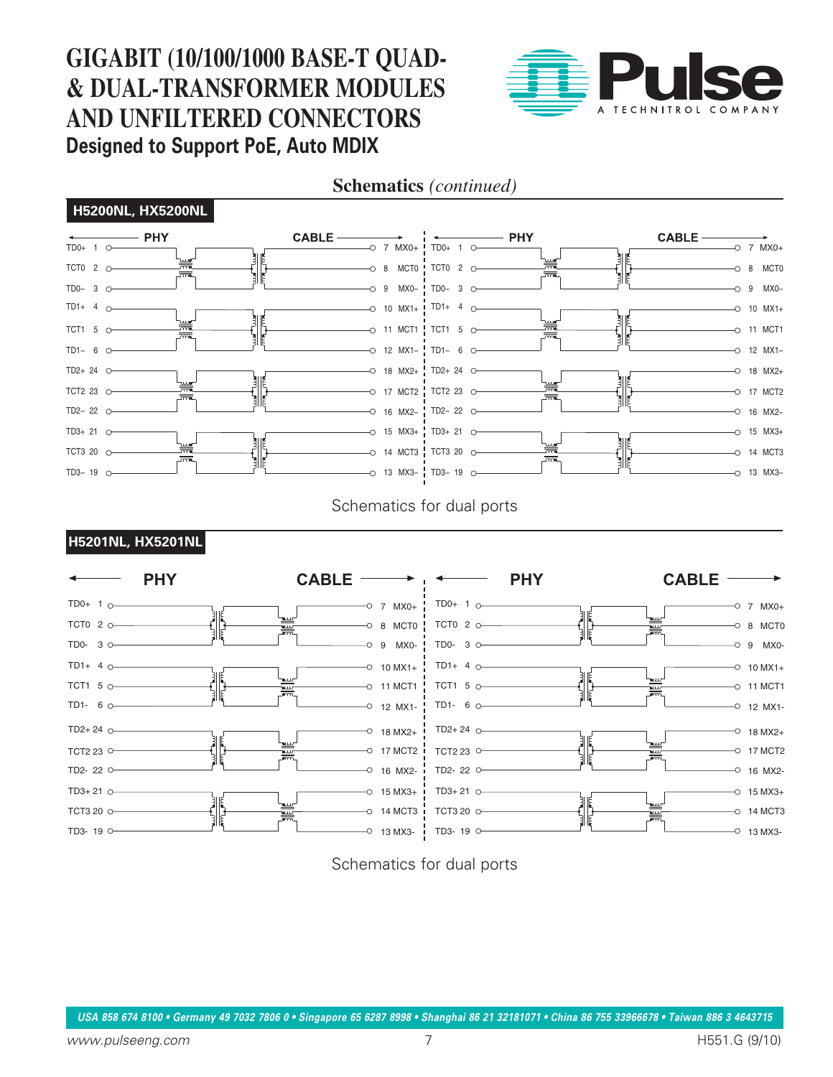

### **Schematics** *(continued)*



#### **H5201NL, HX5201NL**



Schematics for dual ports